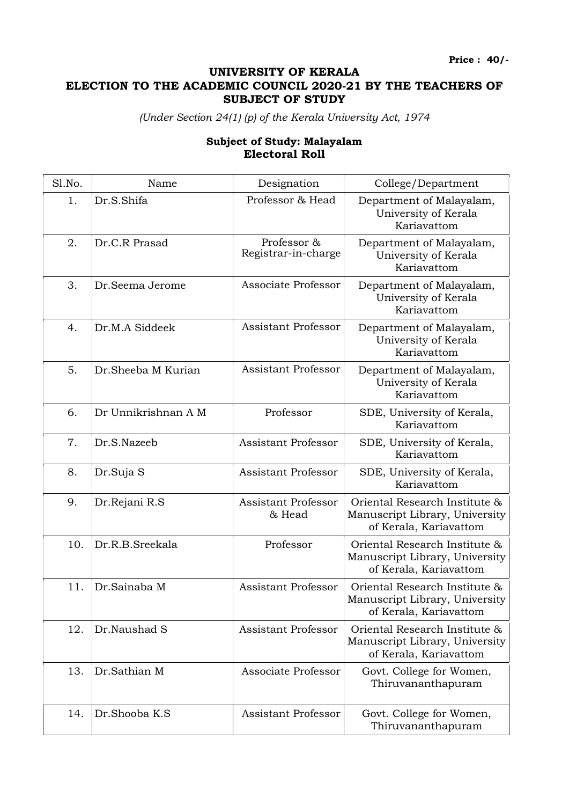Price : 40/-

## UNIVERSITY OF KERALA ELECTION TO THE ACADEMIC COUNCIL 2020-21 BY THE TEACHERS OF SUBJECT OF STUDY

(Under Section 24(1) (p) of the Kerala University Act, 1974

## Subject of Study: Malayalam Electoral Roll

| Sl.No. | Name                | Designation                          | College/Department                                                                        |
|--------|---------------------|--------------------------------------|-------------------------------------------------------------------------------------------|
| 1.     | Dr.S.Shifa          | Professor & Head                     | Department of Malayalam,<br>University of Kerala<br>Kariavattom                           |
| 2.     | Dr.C.R Prasad       | Professor &<br>Registrar-in-charge   | Department of Malayalam,<br>University of Kerala<br>Kariavattom                           |
| 3.     | Dr.Seema Jerome     | Associate Professor                  | Department of Malayalam,<br>University of Kerala<br>Kariavattom                           |
| 4.     | Dr.M.A Siddeek      | <b>Assistant Professor</b>           | Department of Malayalam,<br>University of Kerala<br>Kariavattom                           |
| 5.     | Dr.Sheeba M Kurian  | <b>Assistant Professor</b>           | Department of Malayalam,<br>University of Kerala<br>Kariavattom                           |
| 6.     | Dr Unnikrishnan A M | Professor                            | SDE, University of Kerala,<br>Kariavattom                                                 |
| 7.     | Dr.S.Nazeeb         | <b>Assistant Professor</b>           | SDE, University of Kerala,<br>Kariavattom                                                 |
| 8.     | Dr.Suja S           | <b>Assistant Professor</b>           | SDE, University of Kerala,<br>Kariavattom                                                 |
| 9.     | Dr.Rejani R.S       | <b>Assistant Professor</b><br>& Head | Oriental Research Institute &<br>Manuscript Library, University<br>of Kerala, Kariavattom |
| 10.    | Dr.R.B.Sreekala     | Professor                            | Oriental Research Institute &<br>Manuscript Library, University<br>of Kerala, Kariavattom |
| 11.    | Dr.Sainaba M        | <b>Assistant Professor</b>           | Oriental Research Institute &<br>Manuscript Library, University<br>of Kerala, Kariavattom |
| 12.    | Dr.Naushad S        | <b>Assistant Professor</b>           | Oriental Research Institute &<br>Manuscript Library, University<br>of Kerala, Kariavattom |
| 13.    | Dr.Sathian M        | Associate Professor                  | Govt. College for Women,<br>Thiruvananthapuram                                            |
| 14.    | Dr.Shooba K.S       | <b>Assistant Professor</b>           | Govt. College for Women,<br>Thiruvananthapuram                                            |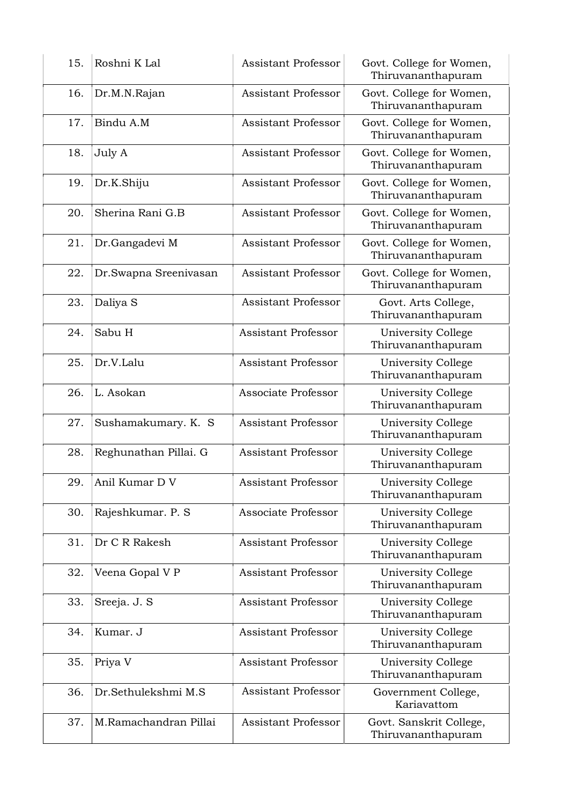| 15. | Roshni K Lal          | <b>Assistant Professor</b> | Govt. College for Women,<br>Thiruvananthapuram |
|-----|-----------------------|----------------------------|------------------------------------------------|
| 16. | Dr.M.N.Rajan          | <b>Assistant Professor</b> | Govt. College for Women,<br>Thiruvananthapuram |
| 17. | Bindu A.M             | <b>Assistant Professor</b> | Govt. College for Women,<br>Thiruvananthapuram |
| 18. | July A                | <b>Assistant Professor</b> | Govt. College for Women,<br>Thiruvananthapuram |
| 19. | Dr.K.Shiju            | <b>Assistant Professor</b> | Govt. College for Women,<br>Thiruvananthapuram |
| 20. | Sherina Rani G.B      | <b>Assistant Professor</b> | Govt. College for Women,<br>Thiruvananthapuram |
| 21. | Dr.Gangadevi M        | <b>Assistant Professor</b> | Govt. College for Women,<br>Thiruvananthapuram |
| 22. | Dr.Swapna Sreenivasan | <b>Assistant Professor</b> | Govt. College for Women,<br>Thiruvananthapuram |
| 23. | Daliya S              | <b>Assistant Professor</b> | Govt. Arts College,<br>Thiruvananthapuram      |
| 24. | Sabu H                | <b>Assistant Professor</b> | University College<br>Thiruvananthapuram       |
| 25. | Dr.V.Lalu             | <b>Assistant Professor</b> | University College<br>Thiruvananthapuram       |
| 26. | L. Asokan             | Associate Professor        | University College<br>Thiruvananthapuram       |
| 27. | Sushamakumary. K. S   | <b>Assistant Professor</b> | University College<br>Thiruvananthapuram       |
| 28. | Reghunathan Pillai. G | <b>Assistant Professor</b> | University College<br>Thiruvananthapuram       |
| 29. | Anil Kumar D V        | Assistant Professor        | University College<br>Thiruvananthapuram       |
| 30. | Rajeshkumar. P. S.    | Associate Professor        | University College<br>Thiruvananthapuram       |
| 31. | Dr C R Rakesh         | <b>Assistant Professor</b> | University College<br>Thiruvananthapuram       |
| 32. | Veena Gopal V P       | <b>Assistant Professor</b> | University College<br>Thiruvananthapuram       |
| 33. | Sreeja. J. S          | <b>Assistant Professor</b> | University College<br>Thiruvananthapuram       |
| 34. | Kumar. J              | <b>Assistant Professor</b> | University College<br>Thiruvananthapuram       |
| 35. | Priya V               | Assistant Professor        | University College<br>Thiruvananthapuram       |
| 36. | Dr.Sethulekshmi M.S   | <b>Assistant Professor</b> | Government College,<br>Kariavattom             |
| 37. | M.Ramachandran Pillai | <b>Assistant Professor</b> | Govt. Sanskrit College,<br>Thiruvananthapuram  |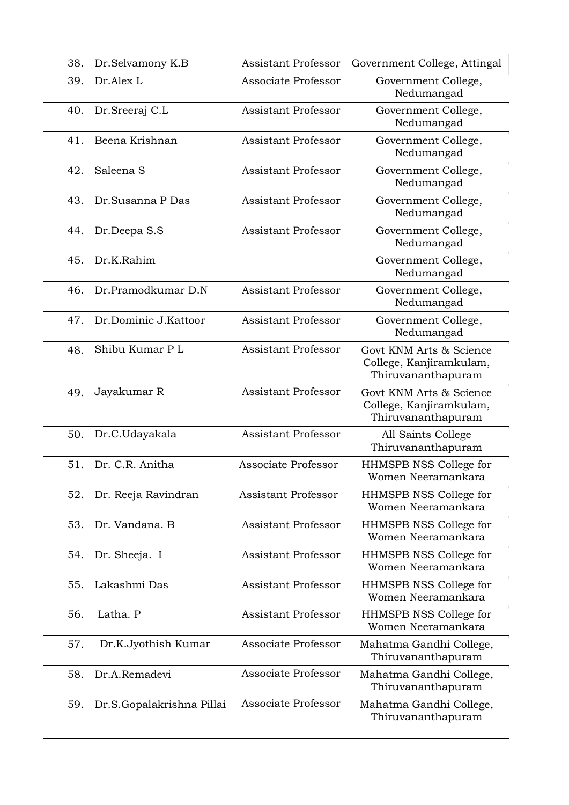| 38. | Dr.Selvamony K.B          | <b>Assistant Professor</b> | Government College, Attingal                                             |
|-----|---------------------------|----------------------------|--------------------------------------------------------------------------|
| 39. | Dr.Alex L                 | Associate Professor        | Government College,<br>Nedumangad                                        |
| 40. | Dr.Sreeraj C.L            | <b>Assistant Professor</b> | Government College,<br>Nedumangad                                        |
| 41. | Beena Krishnan            | <b>Assistant Professor</b> | Government College,<br>Nedumangad                                        |
| 42. | Saleena S                 | <b>Assistant Professor</b> | Government College,<br>Nedumangad                                        |
| 43. | Dr.Susanna P Das          | <b>Assistant Professor</b> | Government College,<br>Nedumangad                                        |
| 44. | Dr.Deepa S.S              | <b>Assistant Professor</b> | Government College,<br>Nedumangad                                        |
| 45. | Dr.K.Rahim                |                            | Government College,<br>Nedumangad                                        |
| 46. | Dr.Pramodkumar D.N        | <b>Assistant Professor</b> | Government College,<br>Nedumangad                                        |
| 47. | Dr.Dominic J.Kattoor      | <b>Assistant Professor</b> | Government College,<br>Nedumangad                                        |
| 48. | Shibu Kumar PL            | <b>Assistant Professor</b> | Govt KNM Arts & Science<br>College, Kanjiramkulam,<br>Thiruvananthapuram |
| 49. | Jayakumar R               | <b>Assistant Professor</b> | Govt KNM Arts & Science<br>College, Kanjiramkulam,<br>Thiruvananthapuram |
| 50. | Dr.C.Udayakala            | <b>Assistant Professor</b> | All Saints College<br>Thiruvananthapuram                                 |
| 51. | Dr. C.R. Anitha           | Associate Professor        | HHMSPB NSS College for<br>Women Neeramankara                             |
| 52. | Dr. Reeja Ravindran       | <b>Assistant Professor</b> | HHMSPB NSS College for<br>Women Neeramankara                             |
| 53. | Dr. Vandana, B            | <b>Assistant Professor</b> | HHMSPB NSS College for<br>Women Neeramankara                             |
| 54. | Dr. Sheeja. I             | Assistant Professor        | HHMSPB NSS College for<br>Women Neeramankara                             |
| 55. | Lakashmi Das              | <b>Assistant Professor</b> | HHMSPB NSS College for<br>Women Neeramankara                             |
| 56. | Latha. P                  | <b>Assistant Professor</b> | HHMSPB NSS College for<br>Women Neeramankara                             |
| 57. | Dr.K.Jyothish Kumar       | Associate Professor        | Mahatma Gandhi College,<br>Thiruvananthapuram                            |
| 58. | Dr.A.Remadevi             | Associate Professor        | Mahatma Gandhi College,<br>Thiruvananthapuram                            |
| 59. | Dr.S.Gopalakrishna Pillai | Associate Professor        | Mahatma Gandhi College,<br>Thiruvananthapuram                            |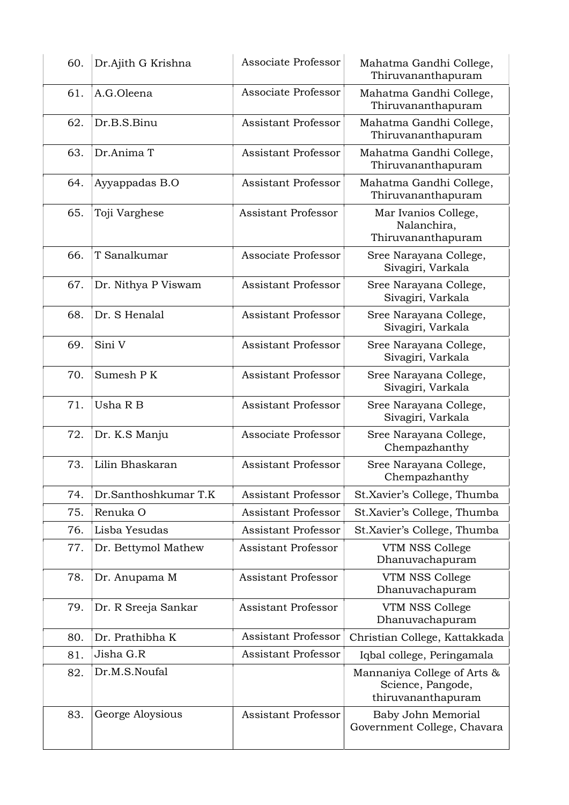| 60. | Dr.Ajith G Krishna   | Associate Professor        | Mahatma Gandhi College,<br>Thiruvananthapuram                          |
|-----|----------------------|----------------------------|------------------------------------------------------------------------|
| 61. | A.G.Oleena           | Associate Professor        | Mahatma Gandhi College,<br>Thiruvananthapuram                          |
| 62. | Dr.B.S.Binu          | <b>Assistant Professor</b> | Mahatma Gandhi College,<br>Thiruvananthapuram                          |
| 63. | Dr.Anima T           | <b>Assistant Professor</b> | Mahatma Gandhi College,<br>Thiruvananthapuram                          |
| 64. | Ayyappadas B.O       | <b>Assistant Professor</b> | Mahatma Gandhi College,<br>Thiruvananthapuram                          |
| 65. | Toji Varghese        | <b>Assistant Professor</b> | Mar Ivanios College,<br>Nalanchira,<br>Thiruvananthapuram              |
| 66. | T Sanalkumar         | Associate Professor        | Sree Narayana College,<br>Sivagiri, Varkala                            |
| 67. | Dr. Nithya P Viswam  | <b>Assistant Professor</b> | Sree Narayana College,<br>Sivagiri, Varkala                            |
| 68. | Dr. S Henalal        | <b>Assistant Professor</b> | Sree Narayana College,<br>Sivagiri, Varkala                            |
| 69. | Sini V               | <b>Assistant Professor</b> | Sree Narayana College,<br>Sivagiri, Varkala                            |
| 70. | Sumesh PK            | <b>Assistant Professor</b> | Sree Narayana College,<br>Sivagiri, Varkala                            |
| 71. | Usha R B             | <b>Assistant Professor</b> | Sree Narayana College,<br>Sivagiri, Varkala                            |
| 72. | Dr. K.S Manju        | Associate Professor        | Sree Narayana College,<br>Chempazhanthy                                |
| 73. | Lilin Bhaskaran      | <b>Assistant Professor</b> | Sree Narayana College,<br>Chempazhanthy                                |
| 74. | Dr.Santhoshkumar T.K | <b>Assistant Professor</b> | St.Xavier's College, Thumba                                            |
| 75. | Renuka O             | <b>Assistant Professor</b> | St.Xavier's College, Thumba                                            |
| 76. | Lisba Yesudas        | <b>Assistant Professor</b> | St.Xavier's College, Thumba                                            |
| 77. | Dr. Bettymol Mathew  | Assistant Professor        | VTM NSS College<br>Dhanuvachapuram                                     |
| 78. | Dr. Anupama M        | <b>Assistant Professor</b> | VTM NSS College<br>Dhanuvachapuram                                     |
| 79. | Dr. R Sreeja Sankar  | Assistant Professor        | VTM NSS College<br>Dhanuvachapuram                                     |
| 80. | Dr. Prathibha K      | <b>Assistant Professor</b> | Christian College, Kattakkada                                          |
| 81. | Jisha G.R            | <b>Assistant Professor</b> | Iqbal college, Peringamala                                             |
| 82. | Dr.M.S.Noufal        |                            | Mannaniya College of Arts &<br>Science, Pangode,<br>thiruvananthapuram |
| 83. | George Aloysious     | <b>Assistant Professor</b> | Baby John Memorial<br>Government College, Chavara                      |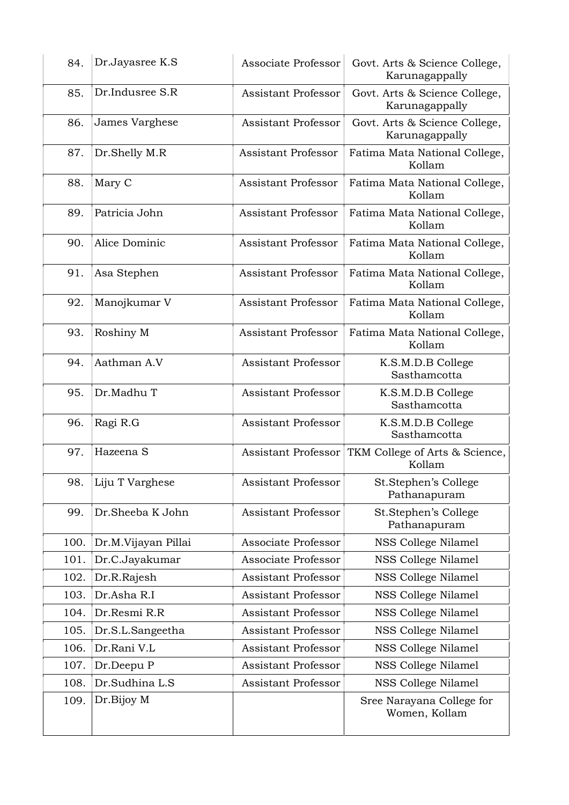| Dr.Indusree S.R<br>85.<br><b>Assistant Professor</b><br>Govt. Arts & Science College,<br>Karunagappally<br>James Varghese<br>86.<br><b>Assistant Professor</b><br>Govt. Arts & Science College,<br>Karunagappally<br>87.<br><b>Assistant Professor</b><br>Dr.Shelly M.R<br>Fatima Mata National College,<br>Kollam<br><b>Assistant Professor</b><br>88.<br>Mary C<br>Fatima Mata National College,<br>Kollam<br>89.<br>Patricia John<br><b>Assistant Professor</b><br>Fatima Mata National College,<br>Kollam<br>90.<br>Alice Dominic<br><b>Assistant Professor</b><br>Fatima Mata National College,<br>Kollam<br><b>Assistant Professor</b><br>91.<br>Asa Stephen<br>Fatima Mata National College,<br>Kollam<br>Assistant Professor<br>92.<br>Manojkumar V<br>Fatima Mata National College,<br>Kollam<br><b>Assistant Professor</b><br>93.<br>Roshiny M<br>Fatima Mata National College,<br>Kollam<br>Aathman A.V<br>94.<br><b>Assistant Professor</b><br>K.S.M.D.B College<br>Sasthamcotta<br>95.<br>Dr.Madhu T<br><b>Assistant Professor</b><br>K.S.M.D.B College<br>Sasthamcotta<br><b>Assistant Professor</b><br>96.<br>Ragi R.G<br>K.S.M.D.B College<br>Sasthamcotta<br>Hazeena S<br>97.<br>TKM College of Arts & Science,<br>Assistant Professor<br>Kollam<br>98.<br>Assistant Professor<br>Liju T Varghese<br>St.Stephen's College<br>Pathanapuram<br>St.Stephen's College<br>99.<br>Dr.Sheeba K John<br><b>Assistant Professor</b><br>Pathanapuram<br>NSS College Nilamel<br>Associate Professor<br>100.<br>Dr.M.Vijayan Pillai<br>Dr.C.Jayakumar<br>Associate Professor<br>NSS College Nilamel<br>101.<br><b>Assistant Professor</b><br>NSS College Nilamel<br>102.<br>Dr.R.Rajesh<br>Dr.Asha R.I<br>103.<br><b>Assistant Professor</b><br>NSS College Nilamel<br>Dr.Resmi R.R<br>104.<br><b>Assistant Professor</b><br>NSS College Nilamel<br>105.<br><b>Assistant Professor</b><br>NSS College Nilamel<br>Dr.S.L.Sangeetha<br>Dr.Rani V.L<br>106.<br><b>Assistant Professor</b><br>NSS College Nilamel<br><b>Assistant Professor</b><br>107.<br>Dr.Deepu P<br>NSS College Nilamel<br>Dr.Sudhina L.S<br>Assistant Professor<br>NSS College Nilamel<br>108.<br>Dr.Bijoy M<br>109.<br>Sree Narayana College for<br>Women, Kollam | 84. | Dr.Jayasree K.S | Associate Professor | Govt. Arts & Science College,<br>Karunagappally |
|-------------------------------------------------------------------------------------------------------------------------------------------------------------------------------------------------------------------------------------------------------------------------------------------------------------------------------------------------------------------------------------------------------------------------------------------------------------------------------------------------------------------------------------------------------------------------------------------------------------------------------------------------------------------------------------------------------------------------------------------------------------------------------------------------------------------------------------------------------------------------------------------------------------------------------------------------------------------------------------------------------------------------------------------------------------------------------------------------------------------------------------------------------------------------------------------------------------------------------------------------------------------------------------------------------------------------------------------------------------------------------------------------------------------------------------------------------------------------------------------------------------------------------------------------------------------------------------------------------------------------------------------------------------------------------------------------------------------------------------------------------------------------------------------------------------------------------------------------------------------------------------------------------------------------------------------------------------------------------------------------------------------------------------------------------------------------------------------------------------------------------------------------------------------------------------------------------------------------------------------|-----|-----------------|---------------------|-------------------------------------------------|
|                                                                                                                                                                                                                                                                                                                                                                                                                                                                                                                                                                                                                                                                                                                                                                                                                                                                                                                                                                                                                                                                                                                                                                                                                                                                                                                                                                                                                                                                                                                                                                                                                                                                                                                                                                                                                                                                                                                                                                                                                                                                                                                                                                                                                                           |     |                 |                     |                                                 |
|                                                                                                                                                                                                                                                                                                                                                                                                                                                                                                                                                                                                                                                                                                                                                                                                                                                                                                                                                                                                                                                                                                                                                                                                                                                                                                                                                                                                                                                                                                                                                                                                                                                                                                                                                                                                                                                                                                                                                                                                                                                                                                                                                                                                                                           |     |                 |                     |                                                 |
|                                                                                                                                                                                                                                                                                                                                                                                                                                                                                                                                                                                                                                                                                                                                                                                                                                                                                                                                                                                                                                                                                                                                                                                                                                                                                                                                                                                                                                                                                                                                                                                                                                                                                                                                                                                                                                                                                                                                                                                                                                                                                                                                                                                                                                           |     |                 |                     |                                                 |
|                                                                                                                                                                                                                                                                                                                                                                                                                                                                                                                                                                                                                                                                                                                                                                                                                                                                                                                                                                                                                                                                                                                                                                                                                                                                                                                                                                                                                                                                                                                                                                                                                                                                                                                                                                                                                                                                                                                                                                                                                                                                                                                                                                                                                                           |     |                 |                     |                                                 |
|                                                                                                                                                                                                                                                                                                                                                                                                                                                                                                                                                                                                                                                                                                                                                                                                                                                                                                                                                                                                                                                                                                                                                                                                                                                                                                                                                                                                                                                                                                                                                                                                                                                                                                                                                                                                                                                                                                                                                                                                                                                                                                                                                                                                                                           |     |                 |                     |                                                 |
|                                                                                                                                                                                                                                                                                                                                                                                                                                                                                                                                                                                                                                                                                                                                                                                                                                                                                                                                                                                                                                                                                                                                                                                                                                                                                                                                                                                                                                                                                                                                                                                                                                                                                                                                                                                                                                                                                                                                                                                                                                                                                                                                                                                                                                           |     |                 |                     |                                                 |
|                                                                                                                                                                                                                                                                                                                                                                                                                                                                                                                                                                                                                                                                                                                                                                                                                                                                                                                                                                                                                                                                                                                                                                                                                                                                                                                                                                                                                                                                                                                                                                                                                                                                                                                                                                                                                                                                                                                                                                                                                                                                                                                                                                                                                                           |     |                 |                     |                                                 |
|                                                                                                                                                                                                                                                                                                                                                                                                                                                                                                                                                                                                                                                                                                                                                                                                                                                                                                                                                                                                                                                                                                                                                                                                                                                                                                                                                                                                                                                                                                                                                                                                                                                                                                                                                                                                                                                                                                                                                                                                                                                                                                                                                                                                                                           |     |                 |                     |                                                 |
|                                                                                                                                                                                                                                                                                                                                                                                                                                                                                                                                                                                                                                                                                                                                                                                                                                                                                                                                                                                                                                                                                                                                                                                                                                                                                                                                                                                                                                                                                                                                                                                                                                                                                                                                                                                                                                                                                                                                                                                                                                                                                                                                                                                                                                           |     |                 |                     |                                                 |
|                                                                                                                                                                                                                                                                                                                                                                                                                                                                                                                                                                                                                                                                                                                                                                                                                                                                                                                                                                                                                                                                                                                                                                                                                                                                                                                                                                                                                                                                                                                                                                                                                                                                                                                                                                                                                                                                                                                                                                                                                                                                                                                                                                                                                                           |     |                 |                     |                                                 |
|                                                                                                                                                                                                                                                                                                                                                                                                                                                                                                                                                                                                                                                                                                                                                                                                                                                                                                                                                                                                                                                                                                                                                                                                                                                                                                                                                                                                                                                                                                                                                                                                                                                                                                                                                                                                                                                                                                                                                                                                                                                                                                                                                                                                                                           |     |                 |                     |                                                 |
|                                                                                                                                                                                                                                                                                                                                                                                                                                                                                                                                                                                                                                                                                                                                                                                                                                                                                                                                                                                                                                                                                                                                                                                                                                                                                                                                                                                                                                                                                                                                                                                                                                                                                                                                                                                                                                                                                                                                                                                                                                                                                                                                                                                                                                           |     |                 |                     |                                                 |
|                                                                                                                                                                                                                                                                                                                                                                                                                                                                                                                                                                                                                                                                                                                                                                                                                                                                                                                                                                                                                                                                                                                                                                                                                                                                                                                                                                                                                                                                                                                                                                                                                                                                                                                                                                                                                                                                                                                                                                                                                                                                                                                                                                                                                                           |     |                 |                     |                                                 |
|                                                                                                                                                                                                                                                                                                                                                                                                                                                                                                                                                                                                                                                                                                                                                                                                                                                                                                                                                                                                                                                                                                                                                                                                                                                                                                                                                                                                                                                                                                                                                                                                                                                                                                                                                                                                                                                                                                                                                                                                                                                                                                                                                                                                                                           |     |                 |                     |                                                 |
|                                                                                                                                                                                                                                                                                                                                                                                                                                                                                                                                                                                                                                                                                                                                                                                                                                                                                                                                                                                                                                                                                                                                                                                                                                                                                                                                                                                                                                                                                                                                                                                                                                                                                                                                                                                                                                                                                                                                                                                                                                                                                                                                                                                                                                           |     |                 |                     |                                                 |
|                                                                                                                                                                                                                                                                                                                                                                                                                                                                                                                                                                                                                                                                                                                                                                                                                                                                                                                                                                                                                                                                                                                                                                                                                                                                                                                                                                                                                                                                                                                                                                                                                                                                                                                                                                                                                                                                                                                                                                                                                                                                                                                                                                                                                                           |     |                 |                     |                                                 |
|                                                                                                                                                                                                                                                                                                                                                                                                                                                                                                                                                                                                                                                                                                                                                                                                                                                                                                                                                                                                                                                                                                                                                                                                                                                                                                                                                                                                                                                                                                                                                                                                                                                                                                                                                                                                                                                                                                                                                                                                                                                                                                                                                                                                                                           |     |                 |                     |                                                 |
|                                                                                                                                                                                                                                                                                                                                                                                                                                                                                                                                                                                                                                                                                                                                                                                                                                                                                                                                                                                                                                                                                                                                                                                                                                                                                                                                                                                                                                                                                                                                                                                                                                                                                                                                                                                                                                                                                                                                                                                                                                                                                                                                                                                                                                           |     |                 |                     |                                                 |
|                                                                                                                                                                                                                                                                                                                                                                                                                                                                                                                                                                                                                                                                                                                                                                                                                                                                                                                                                                                                                                                                                                                                                                                                                                                                                                                                                                                                                                                                                                                                                                                                                                                                                                                                                                                                                                                                                                                                                                                                                                                                                                                                                                                                                                           |     |                 |                     |                                                 |
|                                                                                                                                                                                                                                                                                                                                                                                                                                                                                                                                                                                                                                                                                                                                                                                                                                                                                                                                                                                                                                                                                                                                                                                                                                                                                                                                                                                                                                                                                                                                                                                                                                                                                                                                                                                                                                                                                                                                                                                                                                                                                                                                                                                                                                           |     |                 |                     |                                                 |
|                                                                                                                                                                                                                                                                                                                                                                                                                                                                                                                                                                                                                                                                                                                                                                                                                                                                                                                                                                                                                                                                                                                                                                                                                                                                                                                                                                                                                                                                                                                                                                                                                                                                                                                                                                                                                                                                                                                                                                                                                                                                                                                                                                                                                                           |     |                 |                     |                                                 |
|                                                                                                                                                                                                                                                                                                                                                                                                                                                                                                                                                                                                                                                                                                                                                                                                                                                                                                                                                                                                                                                                                                                                                                                                                                                                                                                                                                                                                                                                                                                                                                                                                                                                                                                                                                                                                                                                                                                                                                                                                                                                                                                                                                                                                                           |     |                 |                     |                                                 |
|                                                                                                                                                                                                                                                                                                                                                                                                                                                                                                                                                                                                                                                                                                                                                                                                                                                                                                                                                                                                                                                                                                                                                                                                                                                                                                                                                                                                                                                                                                                                                                                                                                                                                                                                                                                                                                                                                                                                                                                                                                                                                                                                                                                                                                           |     |                 |                     |                                                 |
|                                                                                                                                                                                                                                                                                                                                                                                                                                                                                                                                                                                                                                                                                                                                                                                                                                                                                                                                                                                                                                                                                                                                                                                                                                                                                                                                                                                                                                                                                                                                                                                                                                                                                                                                                                                                                                                                                                                                                                                                                                                                                                                                                                                                                                           |     |                 |                     |                                                 |
|                                                                                                                                                                                                                                                                                                                                                                                                                                                                                                                                                                                                                                                                                                                                                                                                                                                                                                                                                                                                                                                                                                                                                                                                                                                                                                                                                                                                                                                                                                                                                                                                                                                                                                                                                                                                                                                                                                                                                                                                                                                                                                                                                                                                                                           |     |                 |                     |                                                 |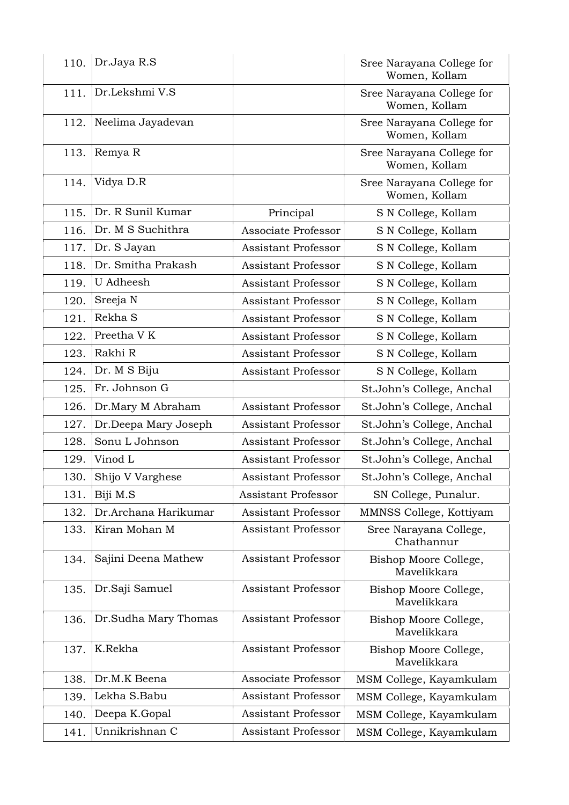| 110. | Dr.Jaya R.S          |                            | Sree Narayana College for<br>Women, Kollam |
|------|----------------------|----------------------------|--------------------------------------------|
| 111. | Dr.Lekshmi V.S       |                            | Sree Narayana College for<br>Women, Kollam |
| 112. | Neelima Jayadevan    |                            | Sree Narayana College for<br>Women, Kollam |
| 113. | Remya R              |                            | Sree Narayana College for<br>Women, Kollam |
| 114. | Vidya D.R            |                            | Sree Narayana College for<br>Women, Kollam |
| 115. | Dr. R Sunil Kumar    | Principal                  | S N College, Kollam                        |
| 116. | Dr. M S Suchithra    | Associate Professor        | S N College, Kollam                        |
| 117. | Dr. S Jayan          | <b>Assistant Professor</b> | S N College, Kollam                        |
| 118. | Dr. Smitha Prakash   | <b>Assistant Professor</b> | S N College, Kollam                        |
| 119. | U Adheesh            | <b>Assistant Professor</b> | S N College, Kollam                        |
| 120. | Sreeja N             | <b>Assistant Professor</b> | S N College, Kollam                        |
| 121. | Rekha S              | <b>Assistant Professor</b> | S N College, Kollam                        |
| 122. | Preetha VK           | <b>Assistant Professor</b> | S N College, Kollam                        |
| 123. | Rakhi R              | <b>Assistant Professor</b> | S N College, Kollam                        |
| 124. | Dr. M S Biju         | <b>Assistant Professor</b> | S N College, Kollam                        |
| 125. | Fr. Johnson G        |                            | St.John's College, Anchal                  |
| 126. | Dr.Mary M Abraham    | <b>Assistant Professor</b> | St.John's College, Anchal                  |
| 127. | Dr.Deepa Mary Joseph | <b>Assistant Professor</b> | St.John's College, Anchal                  |
| 128. | Sonu L Johnson       | <b>Assistant Professor</b> | St.John's College, Anchal                  |
| 129. | Vinod L              | <b>Assistant Professor</b> | St.John's College, Anchal                  |
| 130. | Shijo V Varghese     | <b>Assistant Professor</b> | St.John's College, Anchal                  |
| 131. | Biji M.S             | <b>Assistant Professor</b> | SN College, Punalur.                       |
| 132. | Dr.Archana Harikumar | <b>Assistant Professor</b> | MMNSS College, Kottiyam                    |
| 133. | Kiran Mohan M        | <b>Assistant Professor</b> | Sree Narayana College,<br>Chathannur       |
| 134. | Sajini Deena Mathew  | Assistant Professor        | Bishop Moore College,<br>Mavelikkara       |
| 135. | Dr.Saji Samuel       | <b>Assistant Professor</b> | Bishop Moore College,<br>Mavelikkara       |
| 136. | Dr.Sudha Mary Thomas | <b>Assistant Professor</b> | Bishop Moore College,<br>Mavelikkara       |
| 137. | K.Rekha              | Assistant Professor        | Bishop Moore College,<br>Mavelikkara       |
| 138. | Dr.M.K Beena         | Associate Professor        | MSM College, Kayamkulam                    |
| 139. | Lekha S.Babu         | <b>Assistant Professor</b> | MSM College, Kayamkulam                    |
| 140. | Deepa K.Gopal        | <b>Assistant Professor</b> | MSM College, Kayamkulam                    |
| 141. | Unnikrishnan C       | <b>Assistant Professor</b> | MSM College, Kayamkulam                    |